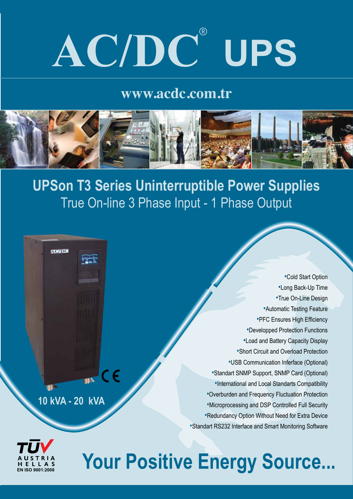## **AC/DC**® **UPS**

## **www.acdc.com.tr**



**UPSon T3 Series Uninterruptible Power Supplies** True On-line 3 Phase Input - 1 Phase Output

•Cold Start Option •Long Back-Up Time •True On-Line Design •Automatic Testing Feature •PFC Ensures High Efficiency •Developped Protection Functions •Load and Battery Capacity Display •Short Circuit and Overload Protection •USB Communication Inferface (Optional)  $\mathbf{u}$  CE •Standart SNMP Support, SNMP Card (Optional) •International and Local Standarts Compatibility •Overburden and Frequency Fluctuation Protection **10 kVA - 20 kVA** •Microprocessing and DSP Controlled Full Security •Redundancy Option Without Need for Extra Device •Standart RS232 Interface and Smart Monitoring Software



**AC/DC** 

## **Your Positive Energy Source...**